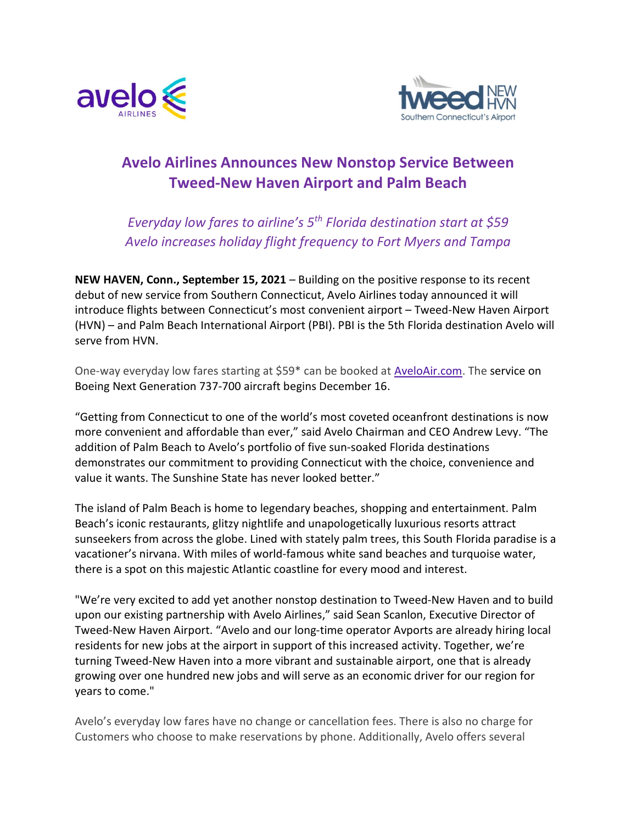



# Avelo Airlines Announces New Nonstop Service Between Tweed-New Haven Airport and Palm Beach

Everyday low fares to airline's  $5<sup>th</sup>$  Florida destination start at \$59 Avelo increases holiday flight frequency to Fort Myers and Tampa

NEW HAVEN, Conn., September 15, 2021 – Building on the positive response to its recent debut of new service from Southern Connecticut, Avelo Airlines today announced it will introduce flights between Connecticut's most convenient airport – Tweed-New Haven Airport (HVN) – and Palm Beach International Airport (PBI). PBI is the 5th Florida destination Avelo will serve from HVN.

One-way everyday low fares starting at \$59\* can be booked at AveloAir.com. The service on Boeing Next Generation 737-700 aircraft begins December 16.

"Getting from Connecticut to one of the world's most coveted oceanfront destinations is now more convenient and affordable than ever," said Avelo Chairman and CEO Andrew Levy. "The addition of Palm Beach to Avelo's portfolio of five sun-soaked Florida destinations demonstrates our commitment to providing Connecticut with the choice, convenience and value it wants. The Sunshine State has never looked better."

The island of Palm Beach is home to legendary beaches, shopping and entertainment. Palm Beach's iconic restaurants, glitzy nightlife and unapologetically luxurious resorts attract sunseekers from across the globe. Lined with stately palm trees, this South Florida paradise is a vacationer's nirvana. With miles of world-famous white sand beaches and turquoise water, there is a spot on this majestic Atlantic coastline for every mood and interest.

"We're very excited to add yet another nonstop destination to Tweed-New Haven and to build upon our existing partnership with Avelo Airlines," said Sean Scanlon, Executive Director of Tweed-New Haven Airport. "Avelo and our long-time operator Avports are already hiring local residents for new jobs at the airport in support of this increased activity. Together, we're turning Tweed-New Haven into a more vibrant and sustainable airport, one that is already growing over one hundred new jobs and will serve as an economic driver for our region for years to come."

Avelo's everyday low fares have no change or cancellation fees. There is also no charge for Customers who choose to make reservations by phone. Additionally, Avelo offers several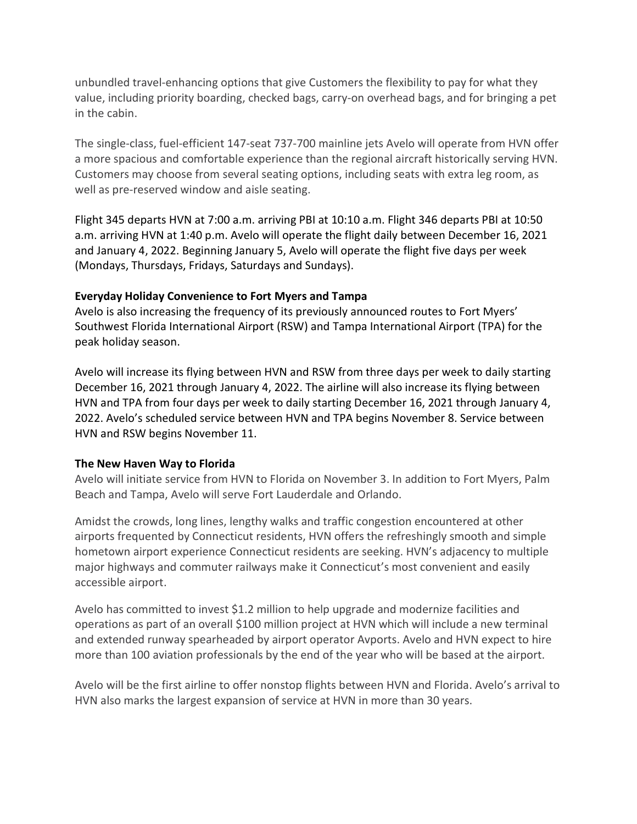unbundled travel-enhancing options that give Customers the flexibility to pay for what they value, including priority boarding, checked bags, carry-on overhead bags, and for bringing a pet in the cabin.

The single-class, fuel-efficient 147-seat 737-700 mainline jets Avelo will operate from HVN offer a more spacious and comfortable experience than the regional aircraft historically serving HVN. Customers may choose from several seating options, including seats with extra leg room, as well as pre-reserved window and aisle seating.

Flight 345 departs HVN at 7:00 a.m. arriving PBI at 10:10 a.m. Flight 346 departs PBI at 10:50 a.m. arriving HVN at 1:40 p.m. Avelo will operate the flight daily between December 16, 2021 and January 4, 2022. Beginning January 5, Avelo will operate the flight five days per week (Mondays, Thursdays, Fridays, Saturdays and Sundays).

## Everyday Holiday Convenience to Fort Myers and Tampa

Avelo is also increasing the frequency of its previously announced routes to Fort Myers' Southwest Florida International Airport (RSW) and Tampa International Airport (TPA) for the peak holiday season.

Avelo will increase its flying between HVN and RSW from three days per week to daily starting December 16, 2021 through January 4, 2022. The airline will also increase its flying between HVN and TPA from four days per week to daily starting December 16, 2021 through January 4, 2022. Avelo's scheduled service between HVN and TPA begins November 8. Service between HVN and RSW begins November 11.

#### The New Haven Way to Florida

Avelo will initiate service from HVN to Florida on November 3. In addition to Fort Myers, Palm Beach and Tampa, Avelo will serve Fort Lauderdale and Orlando.

Amidst the crowds, long lines, lengthy walks and traffic congestion encountered at other airports frequented by Connecticut residents, HVN offers the refreshingly smooth and simple hometown airport experience Connecticut residents are seeking. HVN's adjacency to multiple major highways and commuter railways make it Connecticut's most convenient and easily accessible airport.

Avelo has committed to invest \$1.2 million to help upgrade and modernize facilities and operations as part of an overall \$100 million project at HVN which will include a new terminal and extended runway spearheaded by airport operator Avports. Avelo and HVN expect to hire more than 100 aviation professionals by the end of the year who will be based at the airport.

Avelo will be the first airline to offer nonstop flights between HVN and Florida. Avelo's arrival to HVN also marks the largest expansion of service at HVN in more than 30 years.